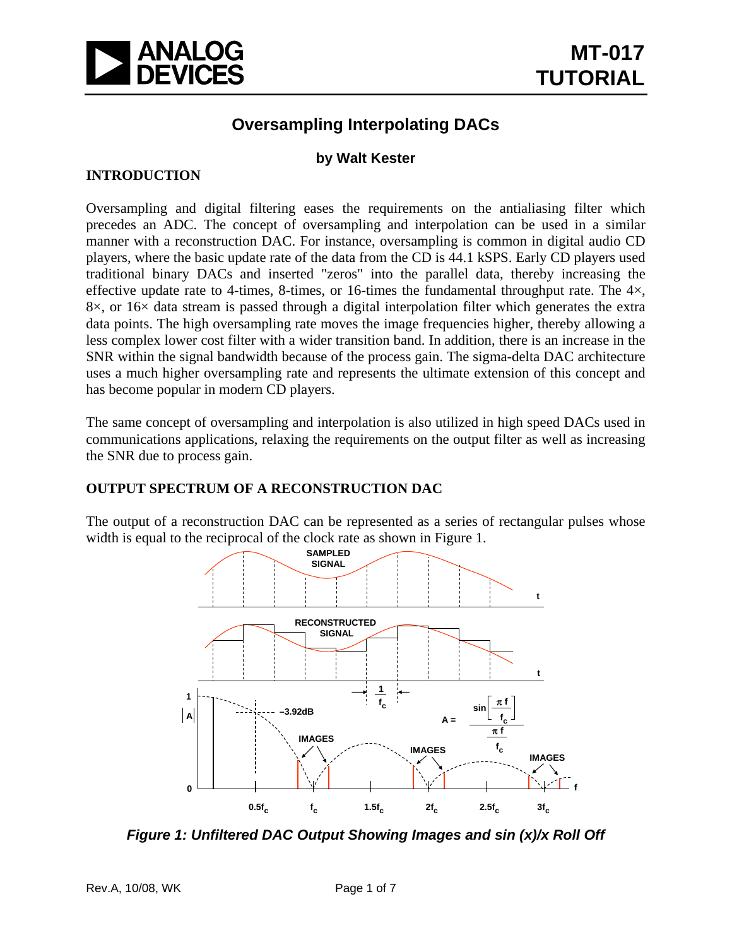

## **Oversampling Interpolating DACs**

### **by Walt Kester**

### **INTRODUCTION**

Oversampling and digital filtering eases the requirements on the antialiasing filter which precedes an ADC. The concept of oversampling and interpolation can be used in a similar manner with a reconstruction DAC. For instance, oversampling is common in digital audio CD players, where the basic update rate of the data from the CD is 44.1 kSPS. Early CD players used traditional binary DACs and inserted "zeros" into the parallel data, thereby increasing the effective update rate to 4-times, 8-times, or 16-times the fundamental throughput rate. The  $4\times$ ,  $8\times$ , or  $16\times$  data stream is passed through a digital interpolation filter which generates the extra data points. The high oversampling rate moves the image frequencies higher, thereby allowing a less complex lower cost filter with a wider transition band. In addition, there is an increase in the SNR within the signal bandwidth because of the process gain. The sigma-delta DAC architecture uses a much higher oversampling rate and represents the ultimate extension of this concept and has become popular in modern CD players.

The same concept of oversampling and interpolation is also utilized in high speed DACs used in communications applications, relaxing the requirements on the output filter as well as increasing the SNR due to process gain.

#### **OUTPUT SPECTRUM OF A RECONSTRUCTION DAC**

The output of a reconstruction DAC can be represented as a series of rectangular pulses whose width is equal to the reciprocal of the clock rate as shown in Figure 1.



*Figure 1: Unfiltered DAC Output Showing Images and sin (x)/x Roll Off*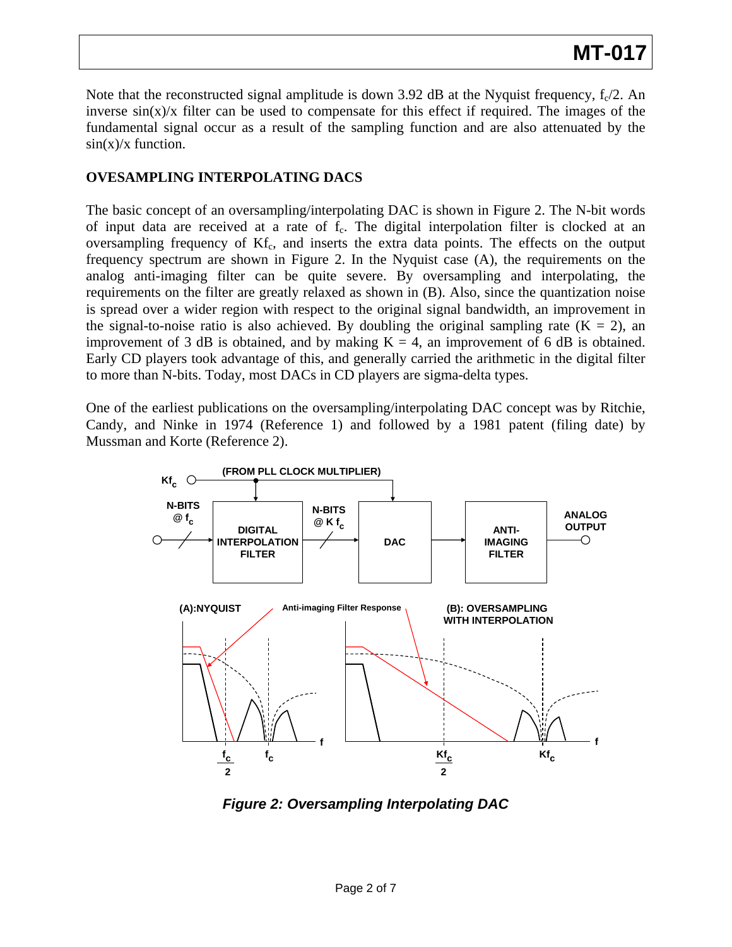Note that the reconstructed signal amplitude is down 3.92 dB at the Nyquist frequency,  $f_c/2$ . An inverse  $sin(x)/x$  filter can be used to compensate for this effect if required. The images of the fundamental signal occur as a result of the sampling function and are also attenuated by the  $\sin(x)/x$  function.

### **OVESAMPLING INTERPOLATING DACS**

The basic concept of an oversampling/interpolating DAC is shown in Figure 2. The N-bit words of input data are received at a rate of f<sub>c</sub>. The digital interpolation filter is clocked at an oversampling frequency of  $Kf_c$ , and inserts the extra data points. The effects on the output frequency spectrum are shown in Figure 2. In the Nyquist case (A), the requirements on the analog anti-imaging filter can be quite severe. By oversampling and interpolating, the requirements on the filter are greatly relaxed as shown in (B). Also, since the quantization noise is spread over a wider region with respect to the original signal bandwidth, an improvement in the signal-to-noise ratio is also achieved. By doubling the original sampling rate  $(K = 2)$ , an improvement of 3 dB is obtained, and by making  $K = 4$ , an improvement of 6 dB is obtained. Early CD players took advantage of this, and generally carried the arithmetic in the digital filter to more than N-bits. Today, most DACs in CD players are sigma-delta types.

One of the earliest publications on the oversampling/interpolating DAC concept was by Ritchie, Candy, and Ninke in 1974 (Reference 1) and followed by a 1981 patent (filing date) by Mussman and Korte (Reference 2).



*Figure 2: Oversampling Interpolating DAC*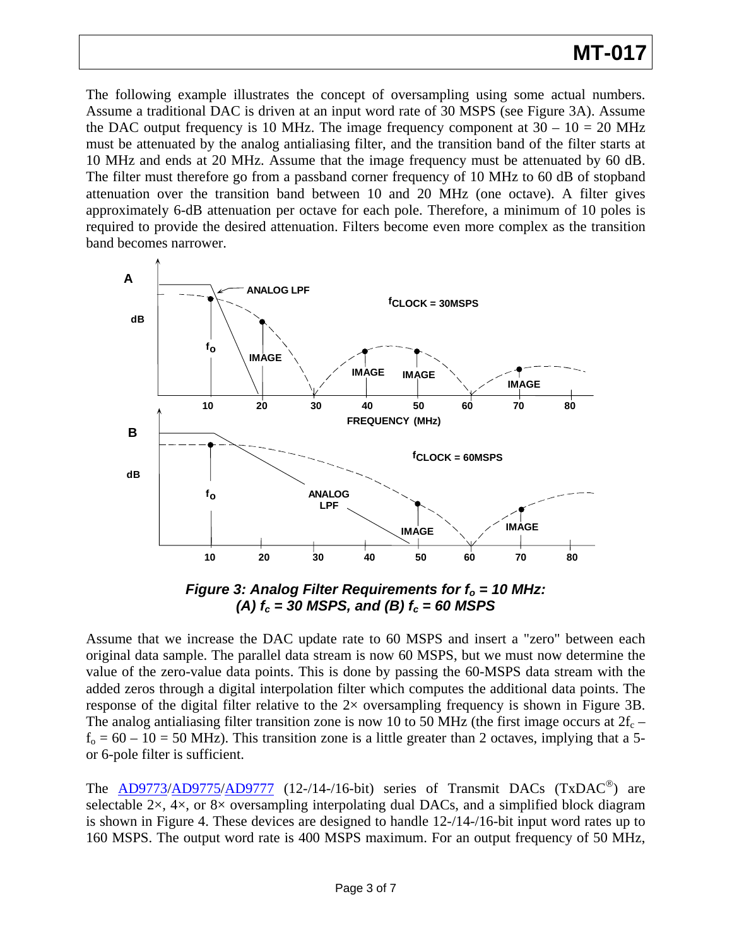# **MT-017**

The following example illustrates the concept of oversampling using some actual numbers. Assume a traditional DAC is driven at an input word rate of 30 MSPS (see Figure 3A). Assume the DAC output frequency is 10 MHz. The image frequency component at  $30 - 10 = 20$  MHz must be attenuated by the analog antialiasing filter, and the transition band of the filter starts at 10 MHz and ends at 20 MHz. Assume that the image frequency must be attenuated by 60 dB. The filter must therefore go from a passband corner frequency of 10 MHz to 60 dB of stopband attenuation over the transition band between 10 and 20 MHz (one octave). A filter gives approximately 6-dB attenuation per octave for each pole. Therefore, a minimum of 10 poles is required to provide the desired attenuation. Filters become even more complex as the transition band becomes narrower.



*Figure 3: Analog Filter Requirements for f<sub>o</sub> = 10 MHz: (A)*  $f_c = 30$  *MSPS, and (B)*  $f_c = 60$  *MSPS* 

Assume that we increase the DAC update rate to 60 MSPS and insert a "zero" between each original data sample. The parallel data stream is now 60 MSPS, but we must now determine the value of the zero-value data points. This is done by passing the 60-MSPS data stream with the added zeros through a digital interpolation filter which computes the additional data points. The response of the digital filter relative to the 2× oversampling frequency is shown in Figure 3B. The analog antialiasing filter transition zone is now 10 to 50 MHz (the first image occurs at  $2f_c$  –  $f_0 = 60 - 10 = 50$  MHz). This transition zone is a little greater than 2 octaves, implying that a 5or 6-pole filter is sufficient.

The  $\overline{AD9773/AD9775/AD9777}$  $\overline{AD9773/AD9775/AD9777}$  $\overline{AD9773/AD9775/AD9777}$  $\overline{AD9773/AD9775/AD9777}$  $\overline{AD9773/AD9775/AD9777}$  (12-/14-/16-bit) series of Transmit DACs (TxDAC<sup>®</sup>) are selectable  $2\times$ ,  $4\times$ , or  $8\times$  oversampling interpolating dual DACs, and a simplified block diagram is shown in Figure 4. These devices are designed to handle 12-/14-/16-bit input word rates up to 160 MSPS. The output word rate is 400 MSPS maximum. For an output frequency of 50 MHz,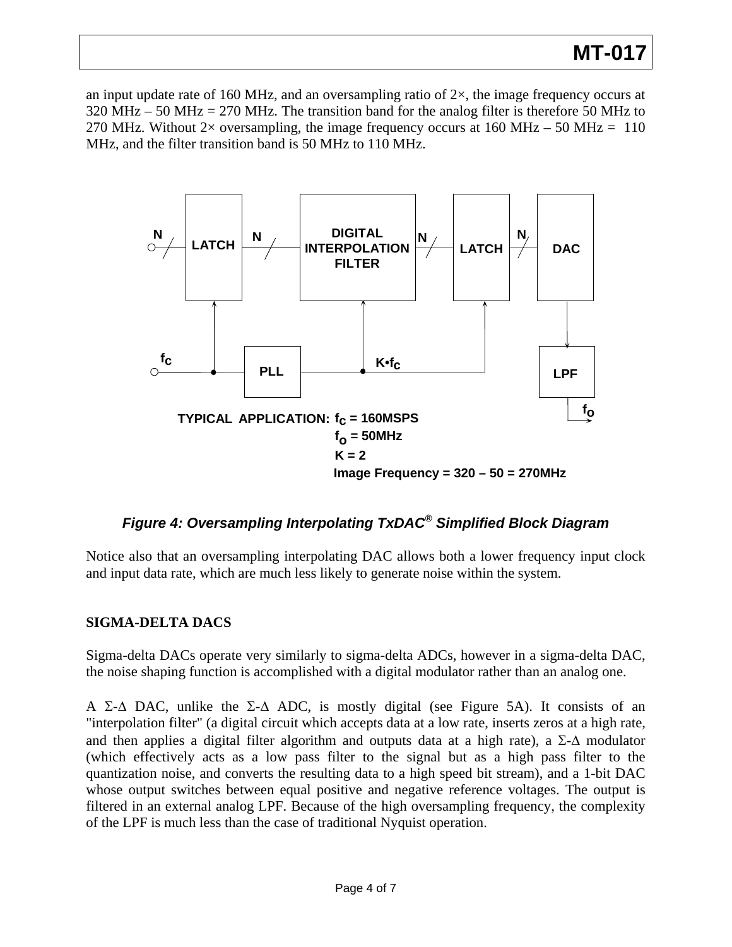# **MT-017**

an input update rate of 160 MHz, and an oversampling ratio of  $2\times$ , the image frequency occurs at 320 MHz – 50 MHz = 270 MHz. The transition band for the analog filter is therefore 50 MHz to 270 MHz. Without 2× oversampling, the image frequency occurs at 160 MHz – 50 MHz = 110 MHz, and the filter transition band is 50 MHz to 110 MHz.



### *Figure 4: Oversampling Interpolating TxDAC® Simplified Block Diagram*

Notice also that an oversampling interpolating DAC allows both a lower frequency input clock and input data rate, which are much less likely to generate noise within the system.

#### **SIGMA-DELTA DACS**

Sigma-delta DACs operate very similarly to sigma-delta ADCs, however in a sigma-delta DAC, the noise shaping function is accomplished with a digital modulator rather than an analog one.

A Σ- $\Delta$  DAC, unlike the Σ- $\Delta$  ADC, is mostly digital (see Figure 5A). It consists of an "interpolation filter" (a digital circuit which accepts data at a low rate, inserts zeros at a high rate, and then applies a digital filter algorithm and outputs data at a high rate), a  $\Sigma$ - $\Delta$  modulator (which effectively acts as a low pass filter to the signal but as a high pass filter to the quantization noise, and converts the resulting data to a high speed bit stream), and a 1-bit DAC whose output switches between equal positive and negative reference voltages. The output is filtered in an external analog LPF. Because of the high oversampling frequency, the complexity of the LPF is much less than the case of traditional Nyquist operation.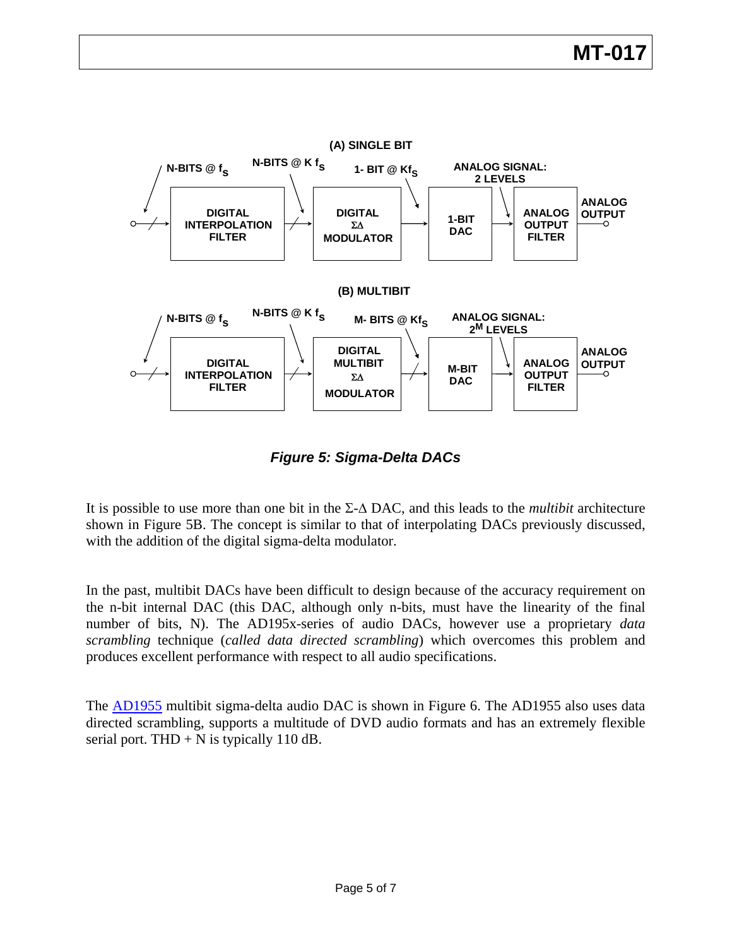

*Figure 5: Sigma-Delta DACs* 

It is possible to use more than one bit in the Σ-Δ DAC, and this leads to the *multibit* architecture shown in Figure 5B. The concept is similar to that of interpolating DACs previously discussed, with the addition of the digital sigma-delta modulator.

In the past, multibit DACs have been difficult to design because of the accuracy requirement on the n-bit internal DAC (this DAC, although only n-bits, must have the linearity of the final number of bits, N). The AD195x-series of audio DACs, however use a proprietary *data scrambling* technique (*called data directed scrambling*) which overcomes this problem and produces excellent performance with respect to all audio specifications.

The **AD1955** multibit sigma-delta audio DAC is shown in Figure 6. The [AD1955](http://www.analog.com/en/prod/0%2C2877%2CAD1955%2C00.html) also uses data directed scrambling, supports a multitude of DVD audio formats and has an extremely flexible serial port. THD  $+$  N is typically 110 dB.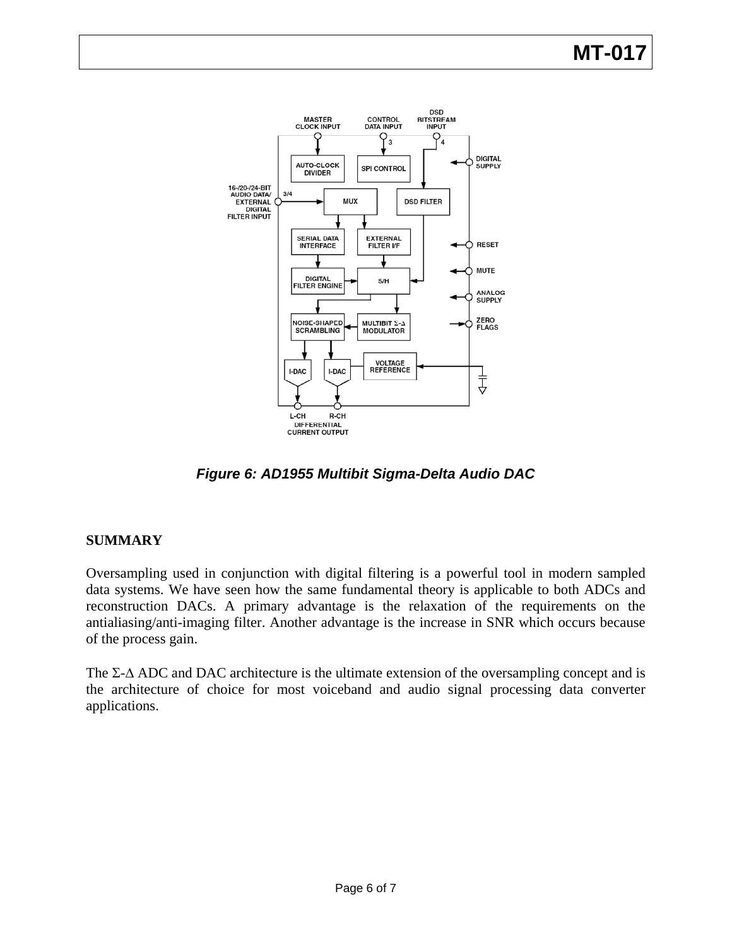# **MT-017**



*Figure 6: AD1955 Multibit Sigma-Delta Audio DAC* 

### **SUMMARY**

Oversampling used in conjunction with digital filtering is a powerful tool in modern sampled data systems. We have seen how the same fundamental theory is applicable to both ADCs and reconstruction DACs. A primary advantage is the relaxation of the requirements on the antialiasing/anti-imaging filter. Another advantage is the increase in SNR which occurs because of the process gain.

The  $\Sigma$ - $\Delta$  ADC and DAC architecture is the ultimate extension of the oversampling concept and is the architecture of choice for most voiceband and audio signal processing data converter applications.